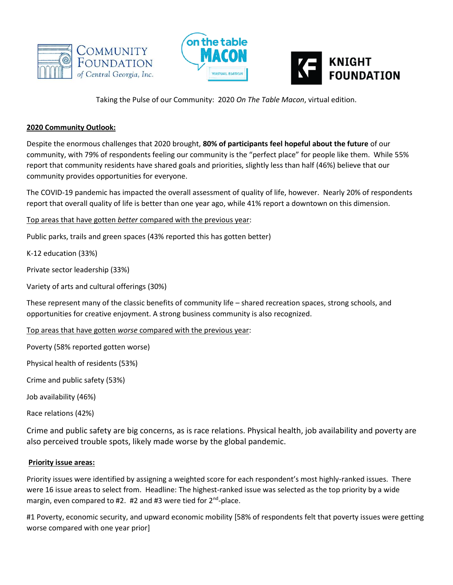





Taking the Pulse of our Community: 2020 *On The Table Macon*, virtual edition.

## **2020 Community Outlook:**

Despite the enormous challenges that 2020 brought, **80% of participants feel hopeful about the future** of our community, with 79% of respondents feeling our community is the "perfect place" for people like them. While 55% report that community residents have shared goals and priorities, slightly less than half (46%) believe that our community provides opportunities for everyone.

The COVID-19 pandemic has impacted the overall assessment of quality of life, however. Nearly 20% of respondents report that overall quality of life is better than one year ago, while 41% report a downtown on this dimension.

Top areas that have gotten *better* compared with the previous year:

Public parks, trails and green spaces (43% reported this has gotten better)

K-12 education (33%)

Private sector leadership (33%)

Variety of arts and cultural offerings (30%)

These represent many of the classic benefits of community life – shared recreation spaces, strong schools, and opportunities for creative enjoyment. A strong business community is also recognized.

Top areas that have gotten *worse* compared with the previous year:

Poverty (58% reported gotten worse)

Physical health of residents (53%)

Crime and public safety (53%)

Job availability (46%)

Race relations (42%)

Crime and public safety are big concerns, as is race relations. Physical health, job availability and poverty are also perceived trouble spots, likely made worse by the global pandemic.

## **Priority issue areas:**

Priority issues were identified by assigning a weighted score for each respondent's most highly-ranked issues. There were 16 issue areas to select from. Headline: The highest-ranked issue was selected as the top priority by a wide margin, even compared to #2. #2 and #3 were tied for 2<sup>nd</sup>-place.

#1 Poverty, economic security, and upward economic mobility [58% of respondents felt that poverty issues were getting worse compared with one year prior]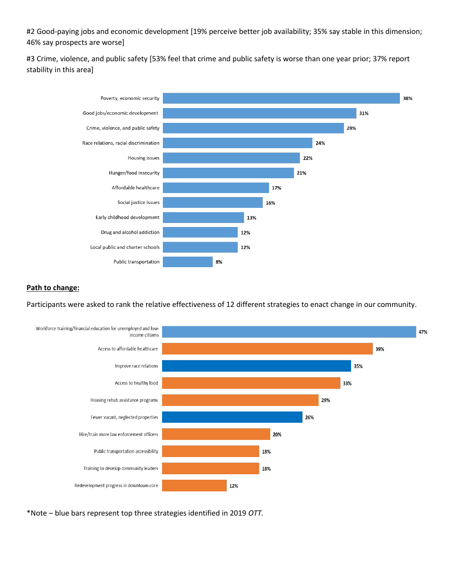#2 Good-paying jobs and economic development [19% perceive better job availability; 35% say stable in this dimension; 46% say prospects are worse]

#3 Crime, violence, and public safety [53% feel that crime and public safety is worse than one year prior; 37% report stability in this area]



## **Path to change:**

Participants were asked to rank the relative effectiveness of 12 different strategies to enact change in our community.



\*Note – blue bars represent top three strategies identified in 2019 *OTT.*